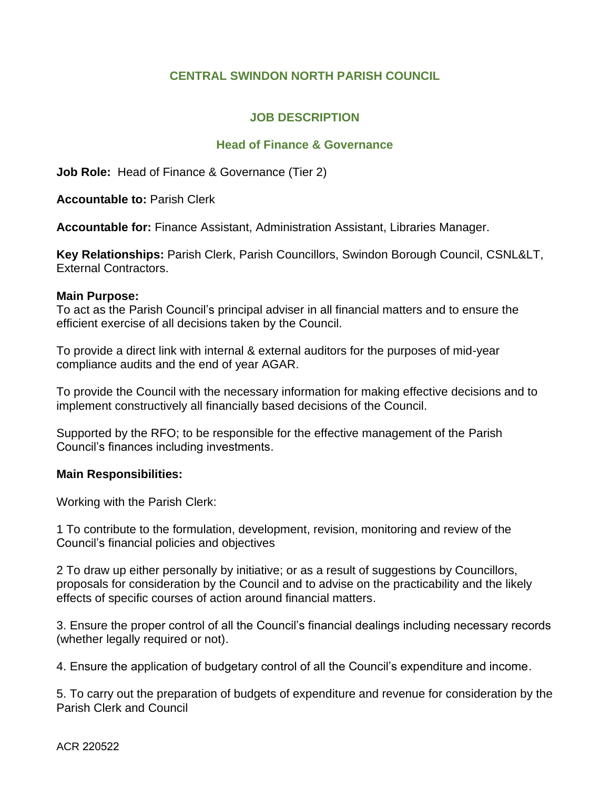# **CENTRAL SWINDON NORTH PARISH COUNCIL**

# **JOB DESCRIPTION**

#### **Head of Finance & Governance**

**Job Role:** Head of Finance & Governance (Tier 2)

**Accountable to:** Parish Clerk

**Accountable for:** Finance Assistant, Administration Assistant, Libraries Manager.

Key Relationships: Parish Clerk, Parish Councillors, Swindon Borough Council, CSNL&LT, External Contractors.

#### **Main Purpose:**

To act as the Parish Council's principal adviser in all financial matters and to ensure the efficient exercise of all decisions taken by the Council.

To provide a direct link with internal & external auditors for the purposes of mid-year compliance audits and the end of year AGAR.

To provide the Council with the necessary information for making effective decisions and to implement constructively all financially based decisions of the Council.

Supported by the RFO; to be responsible for the effective management of the Parish Council's finances including investments.

#### **Main Responsibilities:**

Working with the Parish Clerk:

1 To contribute to the formulation, development, revision, monitoring and review of the Council's financial policies and objectives

2 To draw up either personally by initiative; or as a result of suggestions by Councillors, proposals for consideration by the Council and to advise on the practicability and the likely effects of specific courses of action around financial matters.

3. Ensure the proper control of all the Council's financial dealings including necessary records (whether legally required or not).

4. Ensure the application of budgetary control of all the Council's expenditure and income.

5. To carry out the preparation of budgets of expenditure and revenue for consideration by the Parish Clerk and Council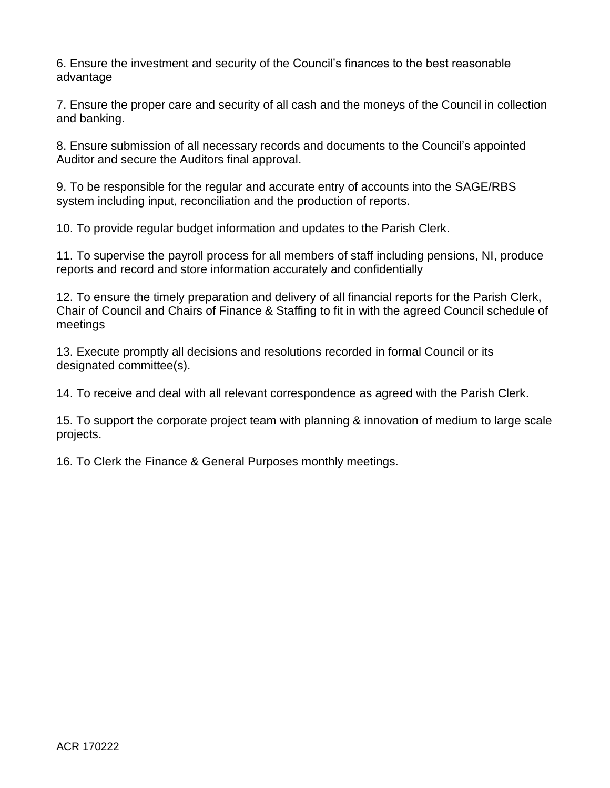6. Ensure the investment and security of the Council's finances to the best reasonable advantage

7. Ensure the proper care and security of all cash and the moneys of the Council in collection and banking.

8. Ensure submission of all necessary records and documents to the Council's appointed Auditor and secure the Auditors final approval.

9. To be responsible for the regular and accurate entry of accounts into the SAGE/RBS system including input, reconciliation and the production of reports.

10. To provide regular budget information and updates to the Parish Clerk.

11. To supervise the payroll process for all members of staff including pensions, NI, produce reports and record and store information accurately and confidentially

12. To ensure the timely preparation and delivery of all financial reports for the Parish Clerk, Chair of Council and Chairs of Finance & Staffing to fit in with the agreed Council schedule of meetings

13. Execute promptly all decisions and resolutions recorded in formal Council or its designated committee(s).

14. To receive and deal with all relevant correspondence as agreed with the Parish Clerk.

15. To support the corporate project team with planning & innovation of medium to large scale projects.

16. To Clerk the Finance & General Purposes monthly meetings.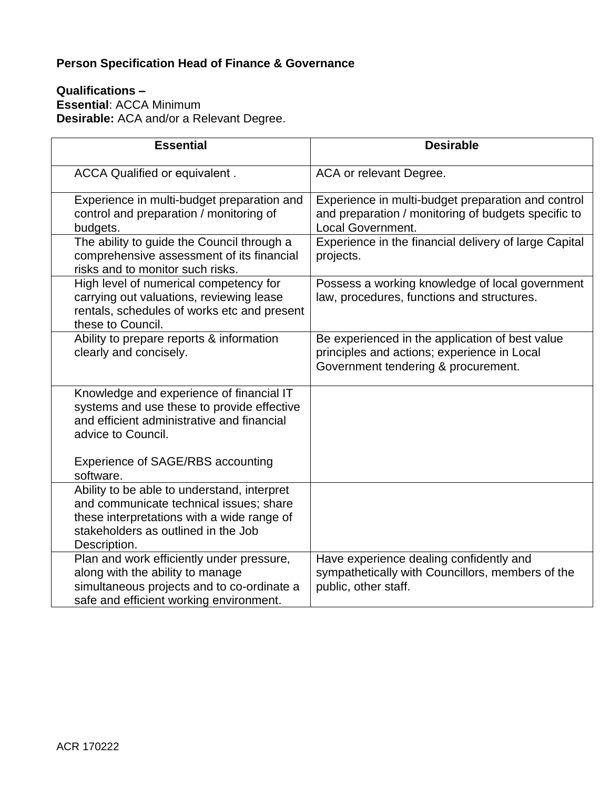# **Person Specification Head of Finance & Governance**

## **Qualifications – Essential**: ACCA Minimum **Desirable:** ACA and/or a Relevant Degree.

| <b>Essential</b>                                                                                                                                                                            | <b>Desirable</b>                                                                                                                      |
|---------------------------------------------------------------------------------------------------------------------------------------------------------------------------------------------|---------------------------------------------------------------------------------------------------------------------------------------|
| ACCA Qualified or equivalent.                                                                                                                                                               | ACA or relevant Degree.                                                                                                               |
| Experience in multi-budget preparation and<br>control and preparation / monitoring of<br>budgets.                                                                                           | Experience in multi-budget preparation and control<br>and preparation / monitoring of budgets specific to<br><b>Local Government.</b> |
| The ability to guide the Council through a<br>comprehensive assessment of its financial<br>risks and to monitor such risks.                                                                 | Experience in the financial delivery of large Capital<br>projects.                                                                    |
| High level of numerical competency for<br>carrying out valuations, reviewing lease<br>rentals, schedules of works etc and present<br>these to Council.                                      | Possess a working knowledge of local government<br>law, procedures, functions and structures.                                         |
| Ability to prepare reports & information<br>clearly and concisely.                                                                                                                          | Be experienced in the application of best value<br>principles and actions; experience in Local<br>Government tendering & procurement. |
| Knowledge and experience of financial IT<br>systems and use these to provide effective<br>and efficient administrative and financial<br>advice to Council.                                  |                                                                                                                                       |
| Experience of SAGE/RBS accounting<br>software.                                                                                                                                              |                                                                                                                                       |
| Ability to be able to understand, interpret<br>and communicate technical issues; share<br>these interpretations with a wide range of<br>stakeholders as outlined in the Job<br>Description. |                                                                                                                                       |
| Plan and work efficiently under pressure,<br>along with the ability to manage<br>simultaneous projects and to co-ordinate a<br>safe and efficient working environment.                      | Have experience dealing confidently and<br>sympathetically with Councillors, members of the<br>public, other staff.                   |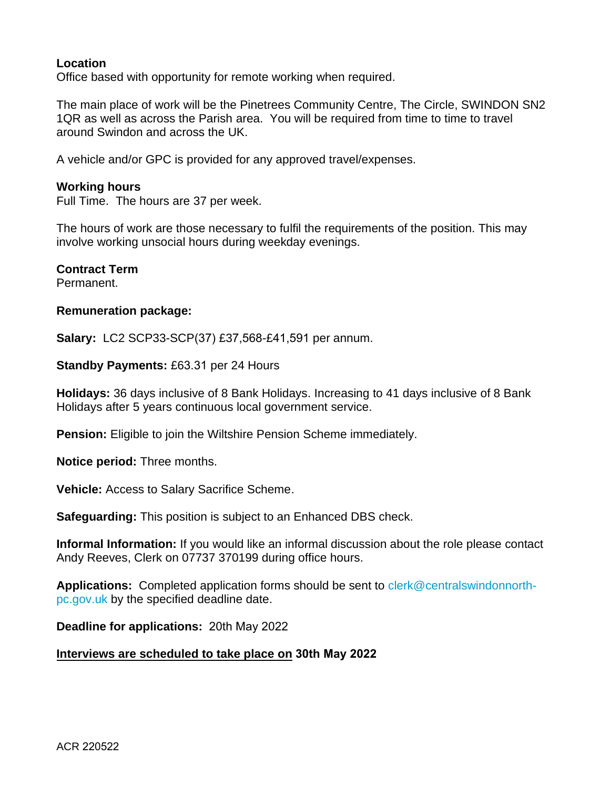## **Location**

Office based with opportunity for remote working when required.

The main place of work will be the Pinetrees Community Centre, The Circle, SWINDON SN2 1QR as well as across the Parish area. You will be required from time to time to travel around Swindon and across the UK.

A vehicle and/or GPC is provided for any approved travel/expenses.

#### **Working hours**

Full Time. The hours are 37 per week.

The hours of work are those necessary to fulfil the requirements of the position. This may involve working unsocial hours during weekday evenings.

#### **Contract Term**

Permanent.

#### **Remuneration package:**

**Salary:** LC2 SCP33-SCP(37) £37,568-£41,591 per annum.

**Standby Payments:** £63.31 per 24 Hours

**Holidays:** 36 days inclusive of 8 Bank Holidays. Increasing to 41 days inclusive of 8 Bank Holidays after 5 years continuous local government service.

**Pension:** Eligible to join the Wiltshire Pension Scheme immediately.

**Notice period:** Three months.

**Vehicle:** Access to Salary Sacrifice Scheme.

**Safeguarding:** This position is subject to an Enhanced DBS check.

**Informal Information:** If you would like an informal discussion about the role please contact Andy Reeves, Clerk on 07737 370199 during office hours.

**Applications:** Completed application forms should be sent to [clerk@centralswindonnorth](mailto:clerk@centralswindonnorth-pc.gov.uk)[pc.gov.uk](mailto:clerk@centralswindonnorth-pc.gov.uk) by the specified deadline date.

**Deadline for applications:** 20th May 2022

## **Interviews are scheduled to take place on 30th May 2022**